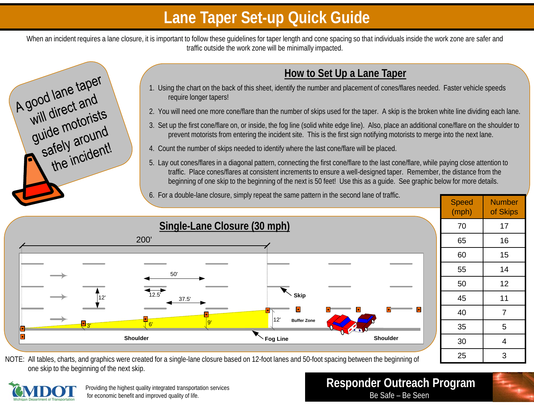## **Lane Taper Set-up Quick Guide**

When an incident requires a lane closure, it is important to follow these guidelines for taper length and cone spacing so that individuals inside the work zone are safer and traffic outside the work zone will be minimally impacted.



#### **How to Set Up a Lane Taper**

- 1. Using the chart on the back of this sheet, identify the number and placement of cones/flares needed. Faster vehicle speeds require longer tapers!
- 2. You will need one more cone/flare than the number of skips used for the taper. A skip is the broken white line dividing each lane.
- 3. Set up the first cone/flare on, or inside, the fog line (solid white edge line). Also, place an additional cone/flare on the shoulder to prevent motorists from entering the incident site. This is the first sign notifying motorists to merge into the next lane.
- 4. Count the number of skips needed to identify where the last cone/flare will be placed.
- 5. Lay out cones/flares in a diagonal pattern, connecting the first cone/flare to the last cone/flare, while paying close attention to traffic. Place cones/flares at consistent increments to ensure a well-designed taper. Remember, the distance from the beginning of one skip to the beginning of the next is 50 feet! Use this as a guide. See graphic below for more details.
- 6. For a double-lane closure, simply repeat the same pattern in the second lane of traffic.



NOTE: All tables, charts, and graphics were created for a single-lane closure based on 12-foot lanes and 50-foot spacing between the beginning of one skip to the beginning of the next skip.



Providing the highest quality integrated transportation services for economic benefit and improved quality of life.

**Responder Outreach Program**<br>Be Safe – Be Seen